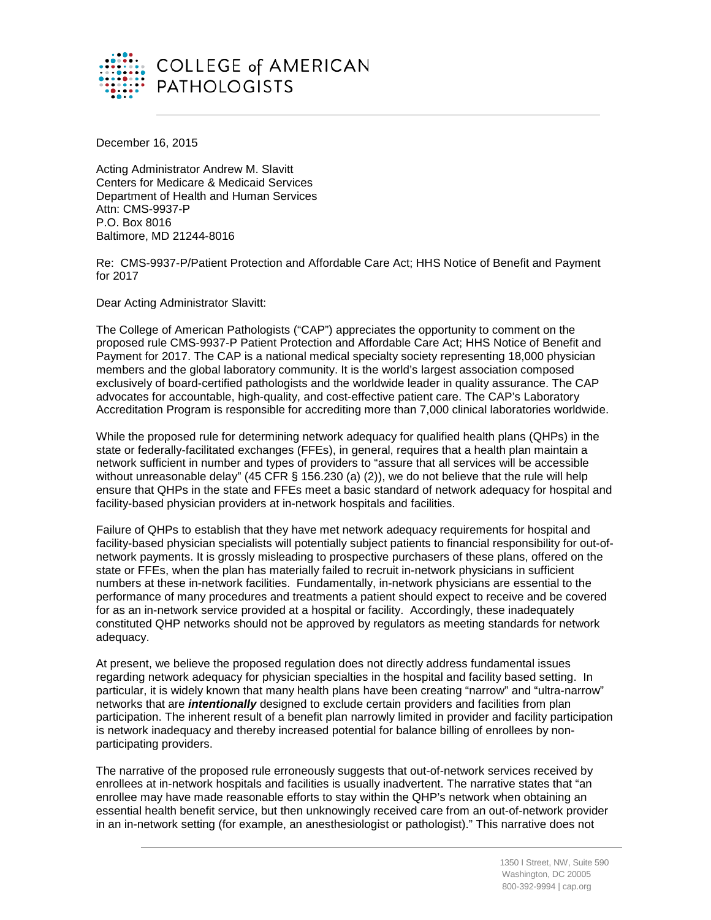

December 16, 2015

Acting Administrator Andrew M. Slavitt Centers for Medicare & Medicaid Services Department of Health and Human Services Attn: CMS-9937-P P.O. Box 8016 Baltimore, MD 21244-8016

Re: CMS-9937-P/Patient Protection and Affordable Care Act; HHS Notice of Benefit and Payment for 2017

Dear Acting Administrator Slavitt:

The College of American Pathologists ("CAP") appreciates the opportunity to comment on the proposed rule CMS-9937-P Patient Protection and Affordable Care Act; HHS Notice of Benefit and Payment for 2017. The CAP is a national medical specialty society representing 18,000 physician members and the global laboratory community. It is the world's largest association composed exclusively of board-certified pathologists and the worldwide leader in quality assurance. The CAP advocates for accountable, high-quality, and cost-effective patient care. The CAP's Laboratory Accreditation Program is responsible for accrediting more than 7,000 clinical laboratories worldwide.

While the proposed rule for determining network adequacy for qualified health plans (QHPs) in the state or federally-facilitated exchanges (FFEs), in general, requires that a health plan maintain a network sufficient in number and types of providers to "assure that all services will be accessible without unreasonable delay" (45 CFR § 156.230 (a) (2)), we do not believe that the rule will help ensure that QHPs in the state and FFEs meet a basic standard of network adequacy for hospital and facility-based physician providers at in-network hospitals and facilities.

Failure of QHPs to establish that they have met network adequacy requirements for hospital and facility-based physician specialists will potentially subject patients to financial responsibility for out-ofnetwork payments. It is grossly misleading to prospective purchasers of these plans, offered on the state or FFEs, when the plan has materially failed to recruit in-network physicians in sufficient numbers at these in-network facilities. Fundamentally, in-network physicians are essential to the performance of many procedures and treatments a patient should expect to receive and be covered for as an in-network service provided at a hospital or facility. Accordingly, these inadequately constituted QHP networks should not be approved by regulators as meeting standards for network adequacy.

At present, we believe the proposed regulation does not directly address fundamental issues regarding network adequacy for physician specialties in the hospital and facility based setting. In particular, it is widely known that many health plans have been creating "narrow" and "ultra-narrow" networks that are *intentionally* designed to exclude certain providers and facilities from plan participation. The inherent result of a benefit plan narrowly limited in provider and facility participation is network inadequacy and thereby increased potential for balance billing of enrollees by nonparticipating providers.

The narrative of the proposed rule erroneously suggests that out-of-network services received by enrollees at in-network hospitals and facilities is usually inadvertent. The narrative states that "an enrollee may have made reasonable efforts to stay within the QHP's network when obtaining an essential health benefit service, but then unknowingly received care from an out-of-network provider in an in-network setting (for example, an anesthesiologist or pathologist)." This narrative does not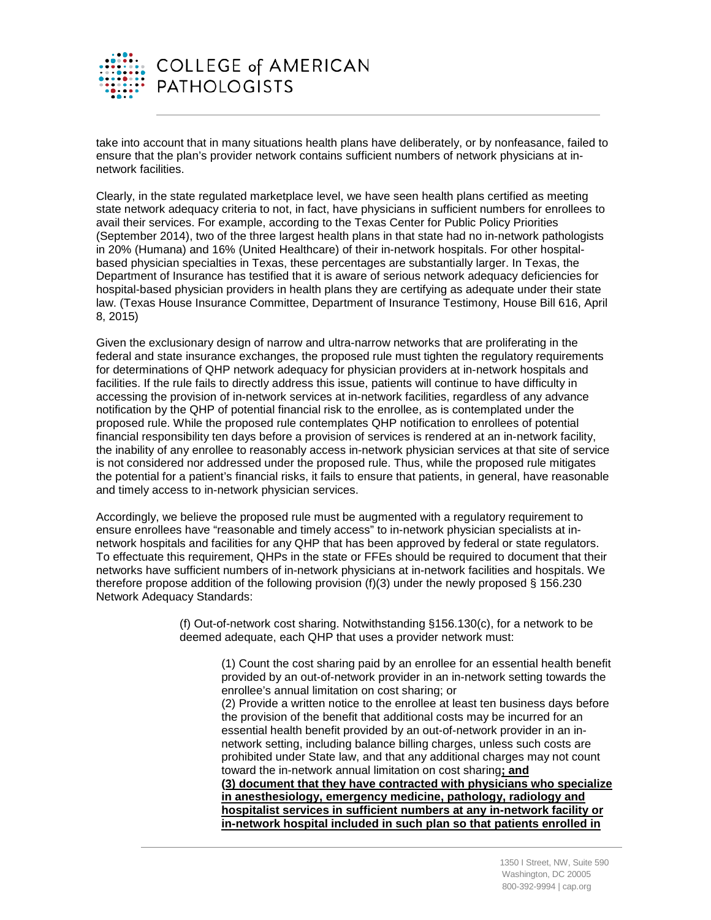

take into account that in many situations health plans have deliberately, or by nonfeasance, failed to ensure that the plan's provider network contains sufficient numbers of network physicians at innetwork facilities.

Clearly, in the state regulated marketplace level, we have seen health plans certified as meeting state network adequacy criteria to not, in fact, have physicians in sufficient numbers for enrollees to avail their services. For example, according to the Texas Center for Public Policy Priorities (September 2014), two of the three largest health plans in that state had no in-network pathologists in 20% (Humana) and 16% (United Healthcare) of their in-network hospitals. For other hospitalbased physician specialties in Texas, these percentages are substantially larger. In Texas, the Department of Insurance has testified that it is aware of serious network adequacy deficiencies for hospital-based physician providers in health plans they are certifying as adequate under their state law. (Texas House Insurance Committee, Department of Insurance Testimony, House Bill 616, April 8, 2015)

Given the exclusionary design of narrow and ultra-narrow networks that are proliferating in the federal and state insurance exchanges, the proposed rule must tighten the regulatory requirements for determinations of QHP network adequacy for physician providers at in-network hospitals and facilities. If the rule fails to directly address this issue, patients will continue to have difficulty in accessing the provision of in-network services at in-network facilities, regardless of any advance notification by the QHP of potential financial risk to the enrollee, as is contemplated under the proposed rule. While the proposed rule contemplates QHP notification to enrollees of potential financial responsibility ten days before a provision of services is rendered at an in-network facility, the inability of any enrollee to reasonably access in-network physician services at that site of service is not considered nor addressed under the proposed rule. Thus, while the proposed rule mitigates the potential for a patient's financial risks, it fails to ensure that patients, in general, have reasonable and timely access to in-network physician services.

Accordingly, we believe the proposed rule must be augmented with a regulatory requirement to ensure enrollees have "reasonable and timely access" to in-network physician specialists at innetwork hospitals and facilities for any QHP that has been approved by federal or state regulators. To effectuate this requirement, QHPs in the state or FFEs should be required to document that their networks have sufficient numbers of in-network physicians at in-network facilities and hospitals. We therefore propose addition of the following provision (f)(3) under the newly proposed § 156.230 Network Adequacy Standards:

> (f) Out-of-network cost sharing. Notwithstanding §156.130(c), for a network to be deemed adequate, each QHP that uses a provider network must:

(1) Count the cost sharing paid by an enrollee for an essential health benefit provided by an out-of-network provider in an in-network setting towards the enrollee's annual limitation on cost sharing; or (2) Provide a written notice to the enrollee at least ten business days before the provision of the benefit that additional costs may be incurred for an essential health benefit provided by an out-of-network provider in an innetwork setting, including balance billing charges, unless such costs are prohibited under State law, and that any additional charges may not count toward the in-network annual limitation on cost sharing**; and (3) document that they have contracted with physicians who specialize in anesthesiology, emergency medicine, pathology, radiology and hospitalist services in sufficient numbers at any in-network facility or in-network hospital included in such plan so that patients enrolled in**